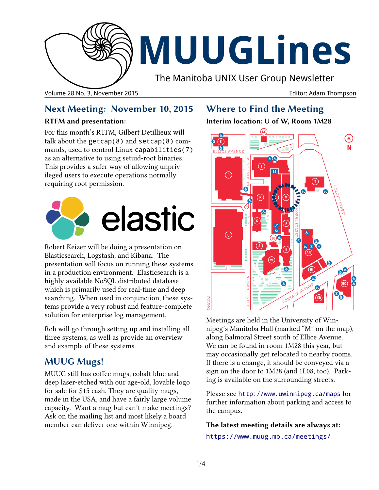

# **MUUGLines**

The Manitoba UNIX User Group Newsletter

Volume 28 No. 3, November 2015 Editor: Adam Thompson

# **Next Meeting: November 10, 2015**

# **RTFM and presentation:**

For this month's RTFM, Gilbert Detillieux will talk about the getcap(8) and setcap(8) commands, used to control Linux capabilities(7) as an alternative to using setuid-root binaries. This provides a safer way of allowing unprivileged users to execute operations normally requiring root permission.



Robert Keizer will be doing a presentation on Elasticsearch, Logstash, and Kibana. The presentation will focus on running these systems in a production environment. Elasticsearch is a highly available NoSQL distributed database which is primarily used for real-time and deep searching. When used in conjunction, these systems provide a very robust and feature-complete solution for enterprise log management.

Rob will go through setting up and installing all three systems, as well as provide an overview and example of these systems.

# **MUUG Mugs!**

MUUG still has coffee mugs, cobalt blue and deep laser-etched with our age-old, lovable logo for sale for \$15 cash. They are quality mugs, made in the USA, and have a fairly large volume capacity. Want a mug but can't make meetings? Ask on the mailing list and most likely a board member can deliver one within Winnipeg.

# **Where to Find the Meeting**

# **Interim location: U of W, Room 1M28**



Meetings are held in the University of Winnipeg's Manitoba Hall (marked "M" on the map), along Balmoral Street south of Ellice Avenue. We can be found in room 1M28 this year, but may occasionally get relocated to nearby rooms. If there is a change, it should be conveyed via a sign on the door to 1M28 (and 1L08, too). Parking is available on the surrounding streets.

Please see <http://www.uwinnipeg.ca/maps> for further information about parking and access to the campus.

**The latest meeting details are always at:**

https://www.muug.mb.ca/meetings/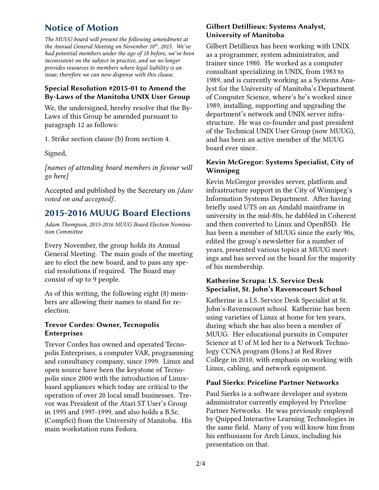# **Notice of Motion**

*The MUUG board will present the following amendment at the Annual General Meeting on November 10th, 2015. We've had potential members under the age of 18 before, we've been inconsistent on the subject in practice, and we no longer provides resources to members where legal liability is an issue; therefore we can now dispense with this clause.*

#### **Special Resolution #2015-01 to Amend the By-Laws of the Manitoba UNIX User Group**

We, the undersigned, hereby resolve that the By-Laws of this Group be amended pursuant to paragraph 12 as follows:

1. Strike section clause (b) from section 4.

Signed,

*[names of attending board members in favour will go here]*

Accepted and published by the Secretary on *[date voted on and accepted]*.

# **2015-2016 MUUG Board Elections**

*Adam Thompson, 2015-2016 MUUG Board Election Nomination Committee*

Every November, the group holds its Annual General Meeting. The main goals of the meeting are to elect the new board, and to pass any special resolutions if required. The Board may consist of up to 9 people.

As of this writing, the following eight (8) members are allowing their names to stand for reelection.

## **Trevor Cordes: Owner, Tecnopolis Enterprises**

Trevor Cordes has owned and operated Tecnopolis Enterprises, a computer VAR, programming and consultancy company, since 1999. Linux and open source have been the keystone of Tecnopolis since 2000 with the introduction of Linuxbased appliances which today are critical to the operation of over 20 local small businesses. Trevor was President of the Atari ST User's Group in 1995 and 1997-1999, and also holds a B.Sc. (CompSci) from the University of Manitoba. His main workstation runs Fedora.

## **Gilbert Detillieux: Systems Analyst, University of Manitoba**

Gilbert Detillieux has been working with UNIX as a programmer, system administrator, and trainer since 1980. He worked as a computer consultant specializing in UNIX, from 1983 to 1989, and is currently working as a Systems Analyst for the University of Manitoba's Department of Computer Science, where's he's worked since 1989, installing, supporting and upgrading the department's network and UNIX server infrastructure. He was co-founder and past president of the Technical UNIX User Group (now MUUG), and has been an active member of the MUUG board ever since.

## **Kevin McGregor: Systems Specialist, City of Winnipeg**

Kevin McGregor provides server, platform and infrastructure support in the City of Winnipeg's Information Systems Department. After having briefly used UTS on an Amdahl mainframe in university in the mid-80s, he dabbled in Coherent and then converted to Linux and OpenBSD. He has been a member of MUUG since the early 90s, edited the group's newsletter for a number of years, presented various topics at MUUG meetings and has served on the board for the majority of his membership.

## **Katherine Scrupa: I.S. Service Desk Specialist, St. John's Ravenscourt School**

Katherine is a I.S. Service Desk Specialist at St. John's-Ravenscourt school. Katherine has been using varieties of Linux at home for ten years, during which she has also been a member of MUUG. Her educational pursuits in Computer Science at U of M led her to a Network Technology CCNA program (Hons.) at Red River College in 2010, with emphasis on working with Linux, cabling, and network equipment.

## **Paul Sierks: Priceline Partner Networks**

Paul Sierks is a software developer and system administrator currently employed by Priceline Partner Networks. He was previously employed by Quipped Interactive Learning Technologies in the same field. Many of you will know him from his enthusiasm for Arch Linux, including his presentation on that.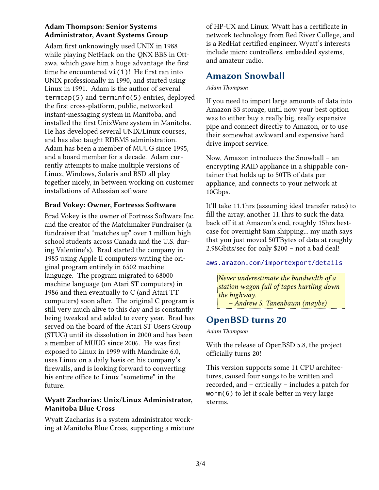## **Adam Thompson: Senior Systems Administrator, Avant Systems Group**

Adam first unknowingly used UNIX in 1988 while playing NetHack on the QNX BBS in Ottawa, which gave him a huge advantage the first time he encountered vi(1)! He first ran into UNIX professionally in 1990, and started using Linux in 1991. Adam is the author of several termcap(5) and terminfo(5) entries, deployed the first cross-platform, public, networked instant-messaging system in Manitoba, and installed the first UnixWare system in Manitoba. He has developed several UNIX/Linux courses, and has also taught RDBMS administration. Adam has been a member of MUUG since 1995, and a board member for a decade. Adam currently attempts to make multiple versions of Linux, Windows, Solaris and BSD all play together nicely, in between working on customer installations of Atlassian software

## **Brad Vokey: Owner, Fortresss Software**

Brad Vokey is the owner of Fortress Software Inc. and the creator of the Matchmaker Fundraiser (a fundraiser that "matches up" over 1 million high school students across Canada and the U.S. during Valentine's). Brad started the company in 1985 using Apple II computers writing the original program entirely in 6502 machine language. The program migrated to 68000 machine language (on Atari ST computers) in 1986 and then eventually to C (and Atari TT computers) soon after. The original C program is still very much alive to this day and is constantly being tweaked and added to every year. Brad has served on the board of the Atari ST Users Group (STUG) until its dissolution in 2000 and has been a member of MUUG since 2006. He was first exposed to Linux in 1999 with Mandrake 6.0, uses Linux on a daily basis on his company's firewalls, and is looking forward to converting his entire office to Linux "sometime" in the future.

## **Wyatt Zacharias: Unix/Linux Administrator, Manitoba Blue Cross**

Wyatt Zacharias is a system administrator working at Manitoba Blue Cross, supporting a mixture of HP-UX and Linux. Wyatt has a certificate in network technology from Red River College, and is a RedHat certified engineer. Wyatt's interests include micro controllers, embedded systems, and amateur radio.

# **Amazon Snowball**

#### *Adam Thompson*

If you need to import large amounts of data into Amazon S3 storage, until now your best option was to either buy a really big, really expensive pipe and connect directly to Amazon, or to use their somewhat awkward and expensive hard drive import service.

Now, Amazon introduces the Snowball – an encrypting RAID appliance in a shippable container that holds up to 50TB of data per appliance, and connects to your network at 10Gbps.

It'll take 11.1hrs (assuming ideal transfer rates) to fill the array, another 11.1hrs to suck the data back off it at Amazon's end, roughly 15hrs bestcase for overnight 8am shipping... my math says that you just moved 50TBytes of data at roughly 2.98Gbits/sec for only \$200 – not a bad deal!

#### [aws.amazon.com/importexport/details](http://aws.amazon.com/importexport/details/)

*Never underestimate the bandwidth of a station wagon full of tapes hurtling down the highway. – Andrew S. Tanenbaum (maybe)*

**OpenBSD turns 20**

*Adam Thompson*

With the release of OpenBSD 5.8, the project officially turns 20!

This version supports some 11 CPU architectures, caused four songs to be written and recorded, and – critically – includes a patch for worm(6) to let it scale better in very large xterms.